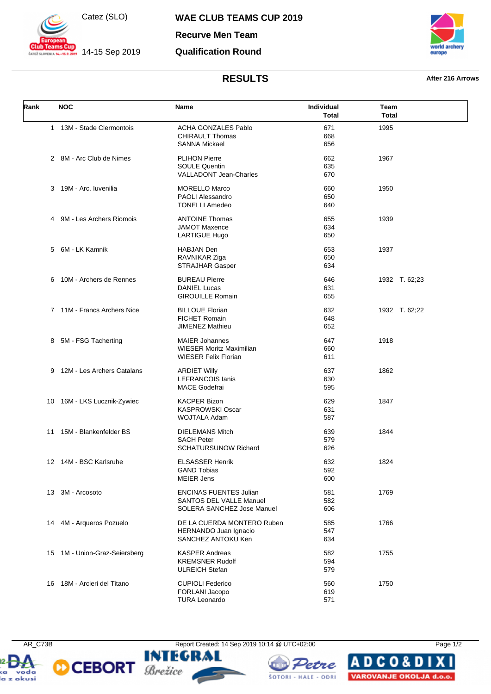

 $14-15$  Sep 2019

**WAE CLUB TEAMS CUP 2019**

**Recurve Men Team**

## **Qualification Round**



## **RESULTS After 216 Arrows**

| Rank | <b>NOC</b>                    | Name                                                                                    | Individual<br><b>Total</b> | Team<br><b>Total</b> |
|------|-------------------------------|-----------------------------------------------------------------------------------------|----------------------------|----------------------|
|      | 1 13M - Stade Clermontois     | <b>ACHA GONZALES Pablo</b><br><b>CHIRAULT Thomas</b><br><b>SANNA Mickael</b>            | 671<br>668<br>656          | 1995                 |
|      | 2 8M - Arc Club de Nimes      | <b>PLIHON Pierre</b><br><b>SOULE Quentin</b><br><b>VALLADONT Jean-Charles</b>           | 662<br>635<br>670          | 1967                 |
| 3    | 19M - Arc. Iuvenilia          | <b>MORELLO Marco</b><br><b>PAOLI Alessandro</b><br><b>TONELLI Amedeo</b>                | 660<br>650<br>640          | 1950                 |
| 4    | 9M - Les Archers Riomois      | <b>ANTOINE Thomas</b><br><b>JAMOT Maxence</b><br>LARTIGUE Hugo                          | 655<br>634<br>650          | 1939                 |
| 5    | 6M - LK Kamnik                | <b>HABJAN Den</b><br>RAVNIKAR Ziga<br><b>STRAJHAR Gasper</b>                            | 653<br>650<br>634          | 1937                 |
| 6    | 10M - Archers de Rennes       | <b>BUREAU Pierre</b><br><b>DANIEL Lucas</b><br><b>GIROUILLE Romain</b>                  | 646<br>631<br>655          | 1932 T. 62;23        |
|      | 7 11M - Francs Archers Nice   | <b>BILLOUE Florian</b><br><b>FICHET Romain</b><br><b>JIMENEZ Mathieu</b>                | 632<br>648<br>652          | 1932 T. 62;22        |
| 8    | 5M - FSG Tacherting           | <b>MAIER Johannes</b><br><b>WIESER Moritz Maximilian</b><br><b>WIESER Felix Florian</b> | 647<br>660<br>611          | 1918                 |
| 9    | 12M - Les Archers Catalans    | <b>ARDIET Willy</b><br><b>LEFRANCOIS lanis</b><br><b>MACE Godefrai</b>                  | 637<br>630<br>595          | 1862                 |
|      | 10 16M - LKS Lucznik-Zywiec   | <b>KACPER Bizon</b><br><b>KASPROWSKI Oscar</b><br>WOJTALA Adam                          | 629<br>631<br>587          | 1847                 |
| 11   | 15M - Blankenfelder BS        | <b>DIELEMANS Mitch</b><br><b>SACH Peter</b><br><b>SCHATURSUNOW Richard</b>              | 639<br>579<br>626          | 1844                 |
|      | 12 14M - BSC Karlsruhe        | <b>ELSASSER Henrik</b><br><b>GAND Tobias</b><br><b>MEIER Jens</b>                       | 632<br>592<br>600          | 1824                 |
| 13   | 3M - Arcosoto                 | <b>ENCINAS FUENTES Julian</b><br>SANTOS DEL VALLE Manuel<br>SOLERA SANCHEZ Jose Manuel  | 581<br>582<br>606          | 1769                 |
| 14   | 4M - Arqueros Pozuelo         | DE LA CUERDA MONTERO Ruben<br>HERNANDO Juan Ignacio<br>SANCHEZ ANTOKU Ken               | 585<br>547<br>634          | 1766                 |
|      | 15 1M - Union-Graz-Seiersberg | <b>KASPER Andreas</b><br><b>KREMSNER Rudolf</b><br><b>ULREICH Stefan</b>                | 582<br>594<br>579          | 1755                 |
|      | 16 18M - Arcieri del Titano   | <b>CUPIOLI Federico</b><br>FORLANI Jacopo<br><b>TURA Leonardo</b>                       | 560<br>619<br>571          | 1750                 |







Δ